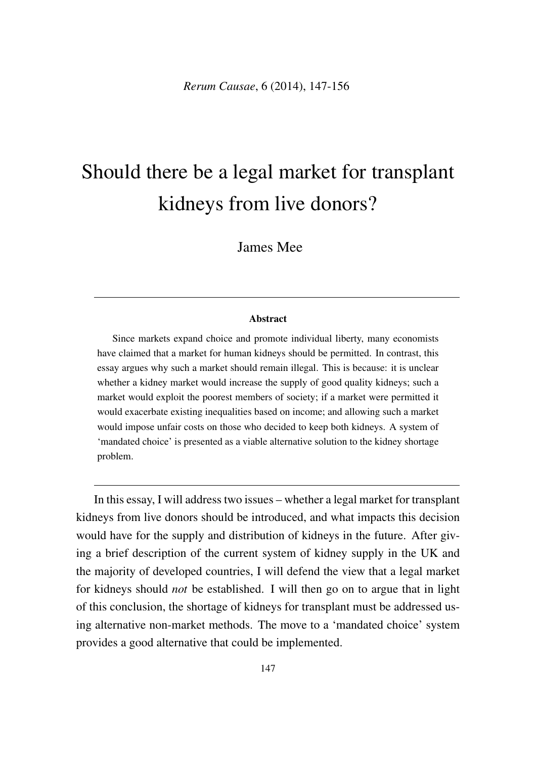# Should there be a legal market for transplant kidneys from live donors?

James Mee

#### Abstract

Since markets expand choice and promote individual liberty, many economists have claimed that a market for human kidneys should be permitted. In contrast, this essay argues why such a market should remain illegal. This is because: it is unclear whether a kidney market would increase the supply of good quality kidneys; such a market would exploit the poorest members of society; if a market were permitted it would exacerbate existing inequalities based on income; and allowing such a market would impose unfair costs on those who decided to keep both kidneys. A system of 'mandated choice' is presented as a viable alternative solution to the kidney shortage problem.

In this essay, I will address two issues – whether a legal market for transplant kidneys from live donors should be introduced, and what impacts this decision would have for the supply and distribution of kidneys in the future. After giving a brief description of the current system of kidney supply in the UK and the majority of developed countries, I will defend the view that a legal market for kidneys should *not* be established. I will then go on to argue that in light of this conclusion, the shortage of kidneys for transplant must be addressed using alternative non-market methods. The move to a 'mandated choice' system provides a good alternative that could be implemented.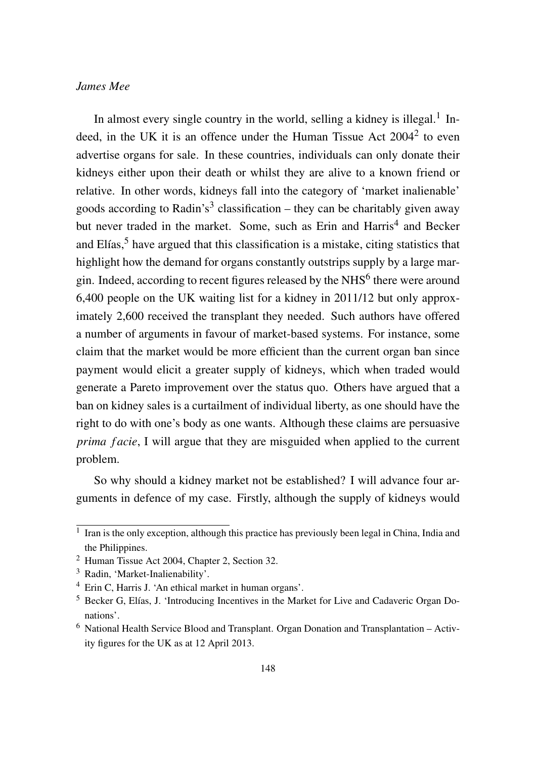In almost every single country in the world, selling a kidney is illegal.<sup>1</sup> Indeed, in the UK it is an offence under the Human Tissue Act 2004<sup>2</sup> to even advertise organs for sale. In these countries, individuals can only donate their kidneys either upon their death or whilst they are alive to a known friend or relative. In other words, kidneys fall into the category of 'market inalienable' goods according to Radin's<sup>3</sup> classification – they can be charitably given away but never traded in the market. Some, such as Erin and Harris<sup>4</sup> and Becker and  $E$ lías, $<sup>5</sup>$  have argued that this classification is a mistake, citing statistics that</sup> highlight how the demand for organs constantly outstrips supply by a large margin. Indeed, according to recent figures released by the  $NHS<sup>6</sup>$  there were around 6,400 people on the UK waiting list for a kidney in 2011/12 but only approximately 2,600 received the transplant they needed. Such authors have offered a number of arguments in favour of market-based systems. For instance, some claim that the market would be more efficient than the current organ ban since payment would elicit a greater supply of kidneys, which when traded would generate a Pareto improvement over the status quo. Others have argued that a ban on kidney sales is a curtailment of individual liberty, as one should have the right to do with one's body as one wants. Although these claims are persuasive *prima facie*, I will argue that they are misguided when applied to the current problem.

So why should a kidney market not be established? I will advance four arguments in defence of my case. Firstly, although the supply of kidneys would

 $\overline{1}$  Iran is the only exception, although this practice has previously been legal in China, India and the Philippines.

<sup>2</sup> Human Tissue Act 2004, Chapter 2, Section 32.

<sup>&</sup>lt;sup>3</sup> Radin, 'Market-Inalienability'.

<sup>4</sup> Erin C, Harris J. 'An ethical market in human organs'.

<sup>5</sup> Becker G, Elías, J. 'Introducing Incentives in the Market for Live and Cadaveric Organ Donations'.

<sup>6</sup> National Health Service Blood and Transplant. Organ Donation and Transplantation – Activity figures for the UK as at 12 April 2013.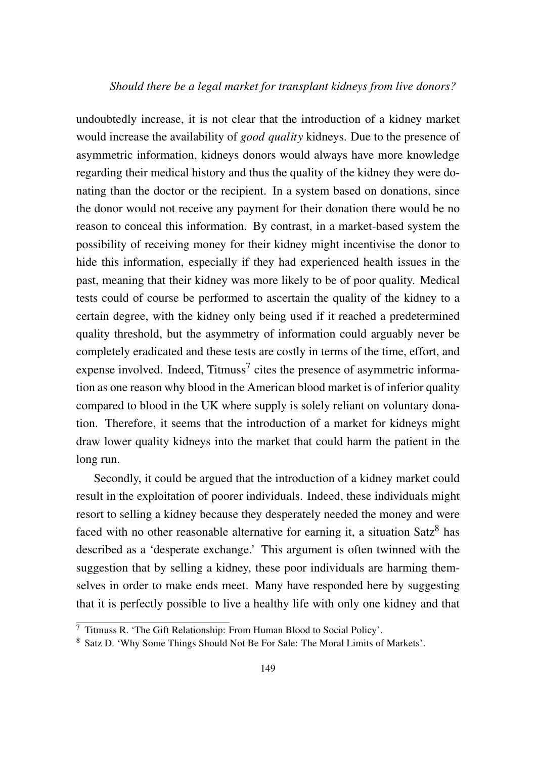#### *Should there be a legal market for transplant kidneys from live donors?*

undoubtedly increase, it is not clear that the introduction of a kidney market would increase the availability of *good quality* kidneys. Due to the presence of asymmetric information, kidneys donors would always have more knowledge regarding their medical history and thus the quality of the kidney they were donating than the doctor or the recipient. In a system based on donations, since the donor would not receive any payment for their donation there would be no reason to conceal this information. By contrast, in a market-based system the possibility of receiving money for their kidney might incentivise the donor to hide this information, especially if they had experienced health issues in the past, meaning that their kidney was more likely to be of poor quality. Medical tests could of course be performed to ascertain the quality of the kidney to a certain degree, with the kidney only being used if it reached a predetermined quality threshold, but the asymmetry of information could arguably never be completely eradicated and these tests are costly in terms of the time, effort, and expense involved. Indeed,  $Titmus<sup>7</sup>$  cites the presence of asymmetric information as one reason why blood in the American blood market is of inferior quality compared to blood in the UK where supply is solely reliant on voluntary donation. Therefore, it seems that the introduction of a market for kidneys might draw lower quality kidneys into the market that could harm the patient in the long run.

Secondly, it could be argued that the introduction of a kidney market could result in the exploitation of poorer individuals. Indeed, these individuals might resort to selling a kidney because they desperately needed the money and were faced with no other reasonable alternative for earning it, a situation  $Satz<sup>8</sup>$  has described as a 'desperate exchange.' This argument is often twinned with the suggestion that by selling a kidney, these poor individuals are harming themselves in order to make ends meet. Many have responded here by suggesting that it is perfectly possible to live a healthy life with only one kidney and that

<sup>7</sup> Titmuss R. 'The Gift Relationship: From Human Blood to Social Policy'.

<sup>8</sup> Satz D. 'Why Some Things Should Not Be For Sale: The Moral Limits of Markets'.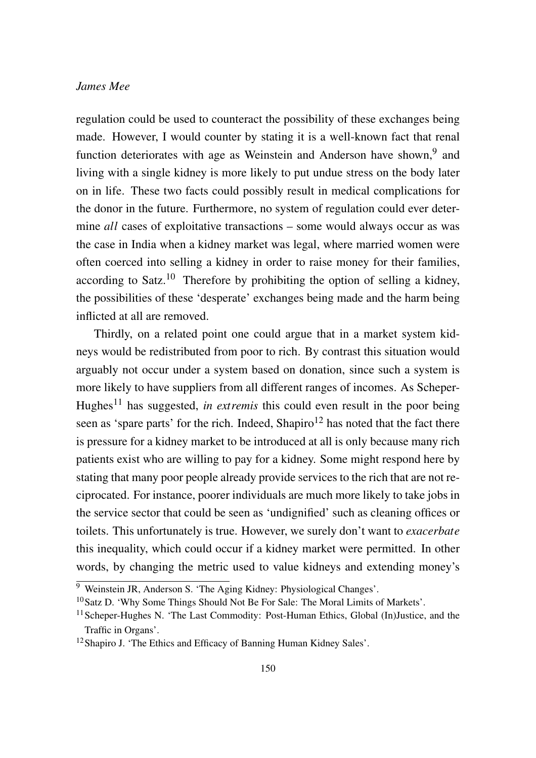regulation could be used to counteract the possibility of these exchanges being made. However, I would counter by stating it is a well-known fact that renal function deteriorates with age as Weinstein and Anderson have shown,<sup>9</sup> and living with a single kidney is more likely to put undue stress on the body later on in life. These two facts could possibly result in medical complications for the donor in the future. Furthermore, no system of regulation could ever determine *all* cases of exploitative transactions – some would always occur as was the case in India when a kidney market was legal, where married women were often coerced into selling a kidney in order to raise money for their families, according to Satz.<sup>10</sup> Therefore by prohibiting the option of selling a kidney, the possibilities of these 'desperate' exchanges being made and the harm being inflicted at all are removed.

Thirdly, on a related point one could argue that in a market system kidneys would be redistributed from poor to rich. By contrast this situation would arguably not occur under a system based on donation, since such a system is more likely to have suppliers from all different ranges of incomes. As Scheper-Hughes<sup>11</sup> has suggested, *in extremis* this could even result in the poor being seen as 'spare parts' for the rich. Indeed,  $Shapiro<sup>12</sup>$  has noted that the fact there is pressure for a kidney market to be introduced at all is only because many rich patients exist who are willing to pay for a kidney. Some might respond here by stating that many poor people already provide services to the rich that are not reciprocated. For instance, poorer individuals are much more likely to take jobs in the service sector that could be seen as 'undignified' such as cleaning offices or toilets. This unfortunately is true. However, we surely don't want to *exacerbate* this inequality, which could occur if a kidney market were permitted. In other words, by changing the metric used to value kidneys and extending money's

<sup>9</sup> Weinstein JR, Anderson S. 'The Aging Kidney: Physiological Changes'.

<sup>&</sup>lt;sup>10</sup>Satz D. 'Why Some Things Should Not Be For Sale: The Moral Limits of Markets'.

<sup>&</sup>lt;sup>11</sup> Scheper-Hughes N. 'The Last Commodity: Post-Human Ethics, Global (In)Justice, and the Traffic in Organs'.

<sup>12</sup>Shapiro J. 'The Ethics and Efficacy of Banning Human Kidney Sales'.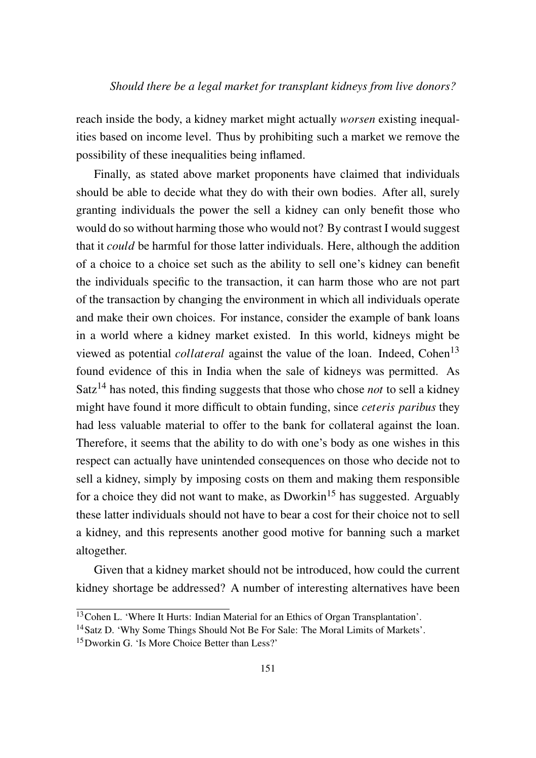reach inside the body, a kidney market might actually *worsen* existing inequalities based on income level. Thus by prohibiting such a market we remove the possibility of these inequalities being inflamed.

Finally, as stated above market proponents have claimed that individuals should be able to decide what they do with their own bodies. After all, surely granting individuals the power the sell a kidney can only benefit those who would do so without harming those who would not? By contrast I would suggest that it *could* be harmful for those latter individuals. Here, although the addition of a choice to a choice set such as the ability to sell one's kidney can benefit the individuals specific to the transaction, it can harm those who are not part of the transaction by changing the environment in which all individuals operate and make their own choices. For instance, consider the example of bank loans in a world where a kidney market existed. In this world, kidneys might be viewed as potential *collateral* against the value of the loan. Indeed, Cohen<sup>13</sup> found evidence of this in India when the sale of kidneys was permitted. As Satz<sup>14</sup> has noted, this finding suggests that those who chose *not* to sell a kidney might have found it more difficult to obtain funding, since *ceteris paribus* they had less valuable material to offer to the bank for collateral against the loan. Therefore, it seems that the ability to do with one's body as one wishes in this respect can actually have unintended consequences on those who decide not to sell a kidney, simply by imposing costs on them and making them responsible for a choice they did not want to make, as Dworkin<sup>15</sup> has suggested. Arguably these latter individuals should not have to bear a cost for their choice not to sell a kidney, and this represents another good motive for banning such a market altogether.

Given that a kidney market should not be introduced, how could the current kidney shortage be addressed? A number of interesting alternatives have been

<sup>&</sup>lt;sup>13</sup>Cohen L. 'Where It Hurts: Indian Material for an Ethics of Organ Transplantation'.

<sup>&</sup>lt;sup>14</sup> Satz D. 'Why Some Things Should Not Be For Sale: The Moral Limits of Markets'.

<sup>15</sup>Dworkin G. 'Is More Choice Better than Less?'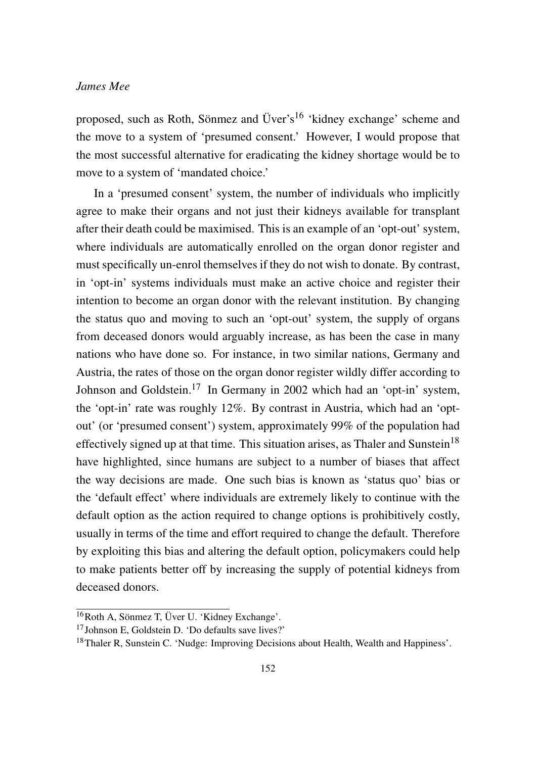proposed, such as Roth, Sönmez and Üver's<sup>16</sup> 'kidney exchange' scheme and the move to a system of 'presumed consent.' However, I would propose that the most successful alternative for eradicating the kidney shortage would be to move to a system of 'mandated choice.'

In a 'presumed consent' system, the number of individuals who implicitly agree to make their organs and not just their kidneys available for transplant after their death could be maximised. This is an example of an 'opt-out' system, where individuals are automatically enrolled on the organ donor register and must specifically un-enrol themselves if they do not wish to donate. By contrast, in 'opt-in' systems individuals must make an active choice and register their intention to become an organ donor with the relevant institution. By changing the status quo and moving to such an 'opt-out' system, the supply of organs from deceased donors would arguably increase, as has been the case in many nations who have done so. For instance, in two similar nations, Germany and Austria, the rates of those on the organ donor register wildly differ according to Johnson and Goldstein.<sup>17</sup> In Germany in 2002 which had an 'opt-in' system, the 'opt-in' rate was roughly 12%. By contrast in Austria, which had an 'optout' (or 'presumed consent') system, approximately 99% of the population had effectively signed up at that time. This situation arises, as Thaler and Sunstein<sup>18</sup> have highlighted, since humans are subject to a number of biases that affect the way decisions are made. One such bias is known as 'status quo' bias or the 'default effect' where individuals are extremely likely to continue with the default option as the action required to change options is prohibitively costly, usually in terms of the time and effort required to change the default. Therefore by exploiting this bias and altering the default option, policymakers could help to make patients better off by increasing the supply of potential kidneys from deceased donors.

<sup>16</sup>Roth A, Sönmez T, Üver U. 'Kidney Exchange'.

<sup>17</sup>Johnson E, Goldstein D. 'Do defaults save lives?'

<sup>&</sup>lt;sup>18</sup>Thaler R, Sunstein C. 'Nudge: Improving Decisions about Health, Wealth and Happiness'.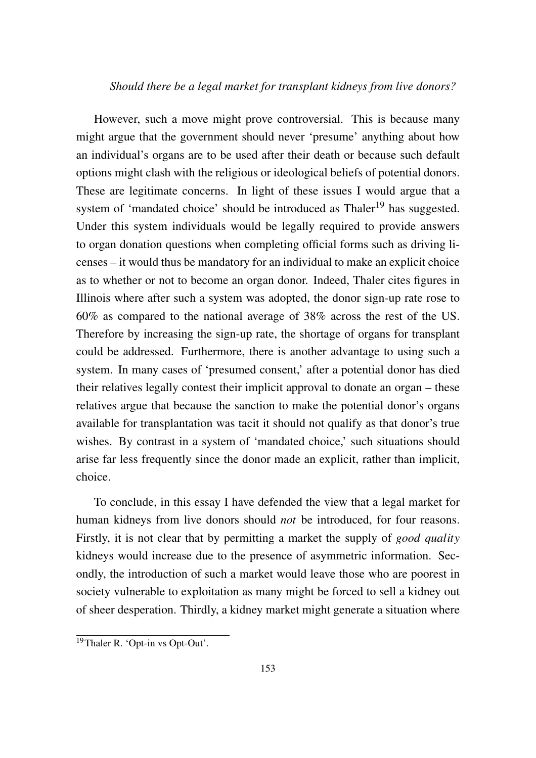#### *Should there be a legal market for transplant kidneys from live donors?*

However, such a move might prove controversial. This is because many might argue that the government should never 'presume' anything about how an individual's organs are to be used after their death or because such default options might clash with the religious or ideological beliefs of potential donors. These are legitimate concerns. In light of these issues I would argue that a system of 'mandated choice' should be introduced as Thaler<sup>19</sup> has suggested. Under this system individuals would be legally required to provide answers to organ donation questions when completing official forms such as driving licenses – it would thus be mandatory for an individual to make an explicit choice as to whether or not to become an organ donor. Indeed, Thaler cites figures in Illinois where after such a system was adopted, the donor sign-up rate rose to 60% as compared to the national average of 38% across the rest of the US. Therefore by increasing the sign-up rate, the shortage of organs for transplant could be addressed. Furthermore, there is another advantage to using such a system. In many cases of 'presumed consent,' after a potential donor has died their relatives legally contest their implicit approval to donate an organ – these relatives argue that because the sanction to make the potential donor's organs available for transplantation was tacit it should not qualify as that donor's true wishes. By contrast in a system of 'mandated choice,' such situations should arise far less frequently since the donor made an explicit, rather than implicit, choice.

To conclude, in this essay I have defended the view that a legal market for human kidneys from live donors should *not* be introduced, for four reasons. Firstly, it is not clear that by permitting a market the supply of *good quality* kidneys would increase due to the presence of asymmetric information. Secondly, the introduction of such a market would leave those who are poorest in society vulnerable to exploitation as many might be forced to sell a kidney out of sheer desperation. Thirdly, a kidney market might generate a situation where

<sup>19</sup>Thaler R. 'Opt-in vs Opt-Out'.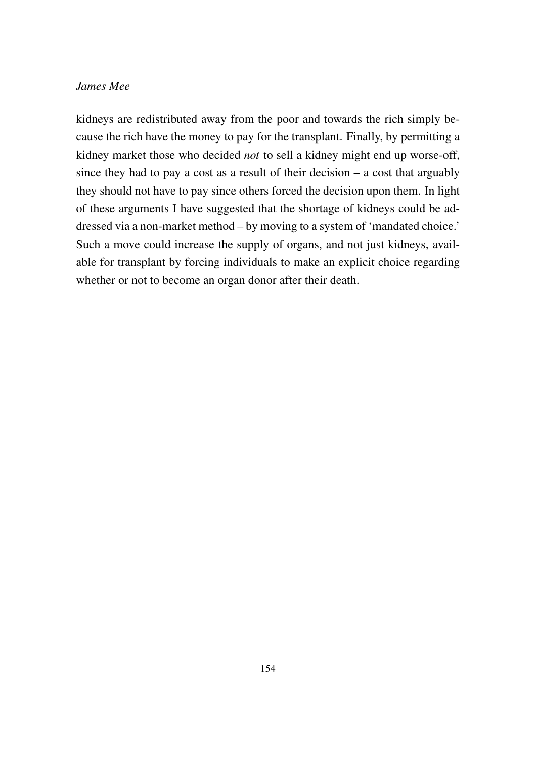kidneys are redistributed away from the poor and towards the rich simply because the rich have the money to pay for the transplant. Finally, by permitting a kidney market those who decided *not* to sell a kidney might end up worse-off, since they had to pay a cost as a result of their decision – a cost that arguably they should not have to pay since others forced the decision upon them. In light of these arguments I have suggested that the shortage of kidneys could be addressed via a non-market method – by moving to a system of 'mandated choice.' Such a move could increase the supply of organs, and not just kidneys, available for transplant by forcing individuals to make an explicit choice regarding whether or not to become an organ donor after their death.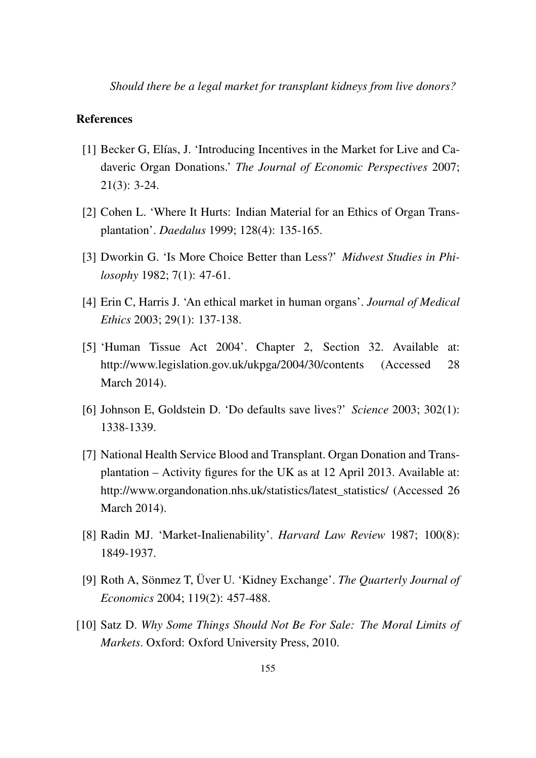*Should there be a legal market for transplant kidneys from live donors?*

#### References

- [1] Becker G, Elías, J. 'Introducing Incentives in the Market for Live and Cadaveric Organ Donations.' *The Journal of Economic Perspectives* 2007; 21(3): 3-24.
- [2] Cohen L. 'Where It Hurts: Indian Material for an Ethics of Organ Transplantation'. *Daedalus* 1999; 128(4): 135-165.
- [3] Dworkin G. 'Is More Choice Better than Less?' *Midwest Studies in Philosophy* 1982; 7(1): 47-61.
- [4] Erin C, Harris J. 'An ethical market in human organs'. *Journal of Medical Ethics* 2003; 29(1): 137-138.
- [5] 'Human Tissue Act 2004'. Chapter 2, Section 32. Available at: http://www.legislation.gov.uk/ukpga/2004/30/contents (Accessed 28 March 2014).
- [6] Johnson E, Goldstein D. 'Do defaults save lives?' *Science* 2003; 302(1): 1338-1339.
- [7] National Health Service Blood and Transplant. Organ Donation and Transplantation – Activity figures for the UK as at 12 April 2013. Available at: http://www.organdonation.nhs.uk/statistics/latest\_statistics/ (Accessed 26 March 2014).
- [8] Radin MJ. 'Market-Inalienability'. *Harvard Law Review* 1987; 100(8): 1849-1937.
- [9] Roth A, Sönmez T, Üver U. 'Kidney Exchange'. *The Quarterly Journal of Economics* 2004; 119(2): 457-488.
- [10] Satz D. *Why Some Things Should Not Be For Sale: The Moral Limits of Markets*. Oxford: Oxford University Press, 2010.